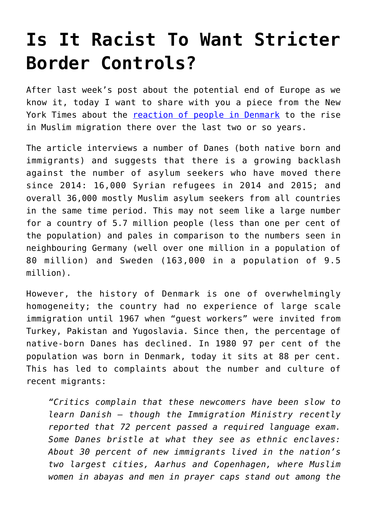## **[Is It Racist To Want Stricter](https://intellectualtakeout.org/2016/09/is-it-racist-to-want-stricter-border-controls/) [Border Controls?](https://intellectualtakeout.org/2016/09/is-it-racist-to-want-stricter-border-controls/)**

After last week's post about the potential end of Europe as we know it, today I want to share with you a piece from the New York Times about the [reaction of people in Denmark](https://www.nytimes.com/2016/09/06/world/europe/denmark-migrants-refugees-racism.html?_r=1) to the rise in Muslim migration there over the last two or so years.

The article interviews a number of Danes (both native born and immigrants) and suggests that there is a growing backlash against the number of asylum seekers who have moved there since 2014: 16,000 Syrian refugees in 2014 and 2015; and overall 36,000 mostly Muslim asylum seekers from all countries in the same time period. This may not seem like a large number for a country of 5.7 million people (less than one per cent of the population) and pales in comparison to the numbers seen in neighbouring Germany (well over one million in a population of 80 million) and Sweden (163,000 in a population of 9.5 million).

However, the history of Denmark is one of overwhelmingly homogeneity; the country had no experience of large scale immigration until 1967 when "guest workers" were invited from Turkey, Pakistan and Yugoslavia. Since then, the percentage of native-born Danes has declined. In 1980 97 per cent of the population was born in Denmark, today it sits at 88 per cent. This has led to complaints about the number and culture of recent migrants:

*"Critics complain that these newcomers have been slow to learn Danish — though the Immigration Ministry recently reported that 72 percent passed a required language exam. Some Danes bristle at what they see as ethnic enclaves: About 30 percent of new immigrants lived in the nation's two largest cities, Aarhus and Copenhagen, where Muslim women in abayas and men in prayer caps stand out among the*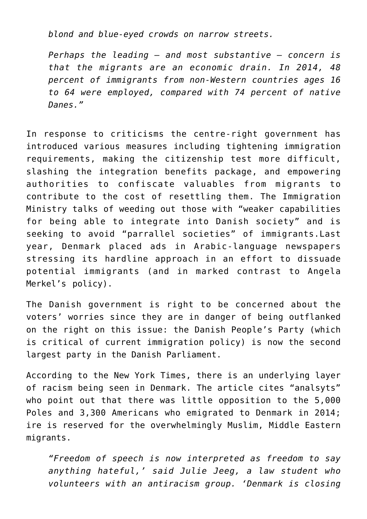*blond and blue-eyed crowds on narrow streets.*

*Perhaps the leading — and most substantive — concern is that the migrants are an economic drain. In 2014, 48 percent of immigrants from non-Western countries ages 16 to 64 were employed, compared with 74 percent of native Danes."*

In response to criticisms the centre-right government has introduced various measures including tightening immigration requirements, making the citizenship test more difficult, slashing the integration benefits package, and empowering authorities to confiscate valuables from migrants to contribute to the cost of resettling them. The Immigration Ministry talks of weeding out those with "weaker capabilities for being able to integrate into Danish society" and is seeking to avoid "parrallel societies" of immigrants.Last year, Denmark placed ads in Arabic-language newspapers stressing its hardline approach in an effort to dissuade potential immigrants (and in marked contrast to Angela Merkel's policy).

The Danish government is right to be concerned about the voters' worries since they are in danger of being outflanked on the right on this issue: the Danish People's Party (which is critical of current immigration policy) is now the second largest party in the Danish Parliament.

According to the New York Times, there is an underlying layer of racism being seen in Denmark. The article cites "analsyts" who point out that there was little opposition to the 5,000 Poles and 3,300 Americans who emigrated to Denmark in 2014; ire is reserved for the overwhelmingly Muslim, Middle Eastern migrants.

*"Freedom of speech is now interpreted as freedom to say anything hateful,' said Julie Jeeg, a law student who volunteers with an antiracism group. 'Denmark is closing*